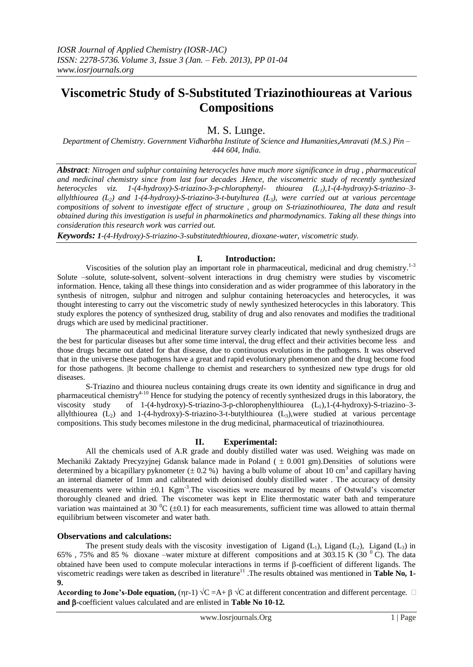# **Viscometric Study of S-Substituted Triazinothioureas at Various Compositions**

# M. S. Lunge.

*Department of Chemistry. Government Vidharbha Institute of Science and Humanities,Amravati (M.S.) Pin – 444 604, India.*

*Abstract: Nitrogen and sulphur containing heterocycles have much more significance in drug , pharmaceutical and medicinal chemistry since from last four decades .Hence, the viscometric study of recently synthesized heterocycles viz. 1-(4-hydroxy)-S-triazino-3-p-chlorophenyl- thiourea (L1),1-(4-hydroxy)-S-triazino–3 allylthiourea (L2) and 1-(4-hydroxy)-S-triazino-3-t-butylturea (L3), were carried out at various percentage compositions of solvent to investigate effect of structure , group on S-triazinothiourea, The data and result obtained during this investigation is useful in pharmokinetics and pharmodynamics. Taking all these things into consideration this research work was carried out.*

*Keywords: 1-(4-Hydroxy)-S-triazino-3-substitutedthiourea, dioxane-water, viscometric study.*

### **I. Introduction:**

Viscosities of the solution play an important role in pharmaceutical, medicinal and drug chemistry.<sup>1-3</sup> Solute –solute, solute-solvent, solvent–solvent interactions in drug chemistry were studies by viscometric information. Hence, taking all these things into consideration and as wider programmee of this laboratory in the synthesis of nitrogen, sulphur and nitrogen and sulphur containing heteroacycles and heterocycles, it was thought interesting to carry out the viscometric study of newly synthesized heterocycles in this laboratory. This study explores the potency of synthesized drug, stability of drug and also renovates and modifies the traditional drugs which are used by medicinal practitioner.

The pharmaceutical and medicinal literature survey clearly indicated that newly synthesized drugs are the best for particular diseases but after some time interval, the drug effect and their activities become less and those drugs became out dated for that disease, due to continuous evolutions in the pathogens. It was observed that in the universe these pathogens have a great and rapid evolutionary phenomenon and the drug become food for those pathogens. |It become challenge to chemist and researchers to synthesized new type drugs for old diseases.

S-Triazino and thiourea nucleus containing drugs create its own identity and significance in drug and pharmaceutical chemistry<sup>4-10</sup> Hence for studying the potency of recently synthesized drugs in this laboratory, the viscosity study of 1-(4-hydroxy)-S-triazino-3-p-chlorophenylthiourea  $(L_1)$ , 1-(4-hydroxy)-S-triazino-3allylthiourea  $(L_2)$  and 1-(4-hydroxy)-S-triazino-3-t-butylthiourea  $(L_3)$ , were studied at various percentage compositions. This study becomes milestone in the drug medicinal, pharmaceutical of triazinothiourea.

## **II. Experimental:**

All the chemicals used of A.R grade and doubly distilled water was used. Weighing was made on Mechaniki Zaktady Precyzyjnej Gdansk balance made in Poland ( $\pm 0.001$  gm).Densities of solutions were determined by a bicapillary pyknometer  $(\pm 0.2 \%)$  having a bulb volume of about 10 cm<sup>3</sup> and capillary having an internal diameter of 1mm and calibrated with deionised doubly distilled water . The accuracy of density measurements were within  $\pm 0.1$  Kgm<sup>-3</sup>. The viscosities were measured by means of Ostwald's viscometer thoroughly cleaned and dried. The viscometer was kept in Elite thermostatic water bath and temperature variation was maintained at 30  $\rm{^0C}$  ( $\pm$ 0.1) for each measurements, sufficient time was allowed to attain thermal equilibrium between viscometer and water bath.

## **Observations and calculations:**

The present study deals with the viscosity investigation of Ligand  $(L_1)$ , Ligand  $(L_2)$ , Ligand  $(L_3)$  in 65% , 75% and 85 % dioxane –water mixture at different compositions and at 303.15 K (30 <sup>0</sup>C). The data obtained have been used to compute molecular interactions in terms if  $\beta$ -coefficient of different ligands. The viscometric readings were taken as described in literature<sup>11</sup>. The results obtained was mentioned in **Table No, 1-9.** 

**According to Jone's-Dole equation,** ( $\eta$ r-1)  $\sqrt{C} = A + \beta \sqrt{C}$  at different concentration and different percentage.  $\Box$ **and -**coefficient values calculated and are enlisted in **Table No 10-12.**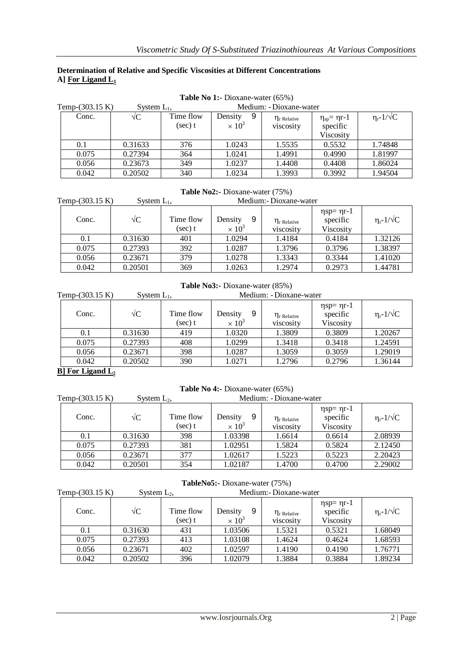## **Determination of Relative and Specific Viscosities at Different Concentrations A] For Ligand L<sup>1</sup>**

| <b>Table No 1:-</b> Dioxane-water (65%) |                |                         |                                          |                                |                                                   |                                   |
|-----------------------------------------|----------------|-------------------------|------------------------------------------|--------------------------------|---------------------------------------------------|-----------------------------------|
| Temp- $(303.15 K)$                      | System $L_1$ , |                         |                                          | Medium: - Dioxane-water        |                                                   |                                   |
| Conc.                                   | $\sqrt{C}$     | Time flow<br>$(\sec)$ t | 9<br>Density<br>$\times$ 10 <sup>3</sup> | $\eta$ r Relative<br>viscosity | $\eta_{sp} = \eta r - 1$<br>specific<br>Viscosity | $\eta_{\rm r}$ -1/ $\sqrt{\rm C}$ |
| 0.1                                     | 0.31633        | 376                     | 1.0243                                   | 1.5535                         | 0.5532                                            | 1.74848                           |
| 0.075                                   | 0.27394        | 364                     | 1.0241                                   | 1.4991                         | 0.4990                                            | 1.81997                           |
| 0.056                                   | 0.23673        | 349                     | 1.0237                                   | 1.4408                         | 0.4408                                            | 1.86024                           |
| 0.042                                   | 0.20502        | 340                     | 1.0234                                   | 1.3993                         | 0.3992                                            | 1.94504                           |

# **Table No2:-** Dioxane-water (75%)

| Temp-(303.15 K) | System $L_1$ , |                      |                               | Medium: - Dioxane-water        |                                       |                                   |
|-----------------|----------------|----------------------|-------------------------------|--------------------------------|---------------------------------------|-----------------------------------|
| Conc.           | $\sqrt{C}$     | Time flow<br>(sec) t | 9<br>Density<br>$\times 10^3$ | $\eta_r$ Relative<br>viscosity | $η$ sp= ηr-1<br>specific<br>Viscosity | $\eta_{\rm r}$ -1/ $\sqrt{\rm C}$ |
| 0.1             | 0.31630        | 401                  | 1.0294                        | 1.4184                         | 0.4184                                | 1.32126                           |
| 0.075           | 0.27393        | 392                  | 1.0287                        | 1.3796                         | 0.3796                                | 1.38397                           |
| 0.056           | 0.23671        | 379                  | 1.0278                        | 1.3343                         | 0.3344                                | 1.41020                           |
| 0.042           | 0.20501        | 369                  | 1.0263                        | 1.2974                         | 0.2973                                | 1.44781                           |

**Table No3:-** Dioxane-water (85%)

| Temp-(303.15 K) | System $L_1$ , |                      |                                          | Medium: - Dioxane-water        |                                                |                           |
|-----------------|----------------|----------------------|------------------------------------------|--------------------------------|------------------------------------------------|---------------------------|
| Conc.           | $\sqrt{C}$     | Time flow<br>(sec) t | 9<br>Density<br>$\times$ 10 <sup>3</sup> | $\eta_r$ Relative<br>viscosity | $\eta$ sp= $\eta$ r-1<br>specific<br>Viscosity | $\eta_{r}$ -1/ $\sqrt{C}$ |
| $0.1\,$         | 0.31630        | 419                  | 1.0320                                   | 1.3809                         | 0.3809                                         | 1.20267                   |
| 0.075           | 0.27393        | 408                  | 1.0299                                   | 1.3418                         | 0.3418                                         | 1.24591                   |
| 0.056           | 0.23671        | 398                  | 1.0287                                   | 1.3059                         | 0.3059                                         | 1.29019                   |
| 0.042           | 0.20502        | 390                  | 1.0271                                   | 1.2796                         | 0.2796                                         | 1.36144                   |

## **B] For Ligand L<sup>2</sup>**

# **Table No 4:-** Dioxane-water (65%)

| Temp-(303.15 K) | System $L_2$ , |                         |                               | Medium: - Dioxane-water        |                                                |                                   |
|-----------------|----------------|-------------------------|-------------------------------|--------------------------------|------------------------------------------------|-----------------------------------|
| Conc.           | $\sqrt{C}$     | Time flow<br>$(\sec)$ t | Density<br>9<br>$\times 10^3$ | $\eta_r$ Relative<br>viscosity | $\eta$ sp= $\eta$ r-1<br>specific<br>Viscosity | $\eta_{\rm r}$ -1/ $\sqrt{\rm C}$ |
| 0.1             | 0.31630        | 398                     | 1.03398                       | 1.6614                         | 0.6614                                         | 2.08939                           |
| 0.075           | 0.27393        | 381                     | 1.02951                       | 1.5824                         | 0.5824                                         | 2.12450                           |
| 0.056           | 0.23671        | 377                     | 1.02617                       | 1.5223                         | 0.5223                                         | 2.20423                           |
| 0.042           | 0.20501        | 354                     | 1.02187                       | 1.4700                         | 0.4700                                         | 2.29002                           |

| Temp- $(303.15 K)$ | System $L_2$ , |                      |                               | Medium: - Dioxane-water              |                                                |                                   |
|--------------------|----------------|----------------------|-------------------------------|--------------------------------------|------------------------------------------------|-----------------------------------|
| Conc.              | $\sqrt{C}$     | Time flow<br>(sec) t | 9<br>Density<br>$\times 10^3$ | $\eta_{\rm r}$ Relative<br>viscosity | $\eta$ sp= $\eta$ r-1<br>specific<br>Viscosity | $\eta_{\rm r}$ -1/ $\sqrt{\rm C}$ |
| 0.1                | 0.31630        | 431                  | 1.03506                       | 1.5321                               | 0.5321                                         | 1.68049                           |
| 0.075              | 0.27393        | 413                  | 1.03108                       | 1.4624                               | 0.4624                                         | 1.68593                           |
| 0.056              | 0.23671        | 402                  | 1.02597                       | 1.4190                               | 0.4190                                         | 1.76771                           |
| 0.042              | 0.20502        | 396                  | 1.02079                       | 1.3884                               | 0.3884                                         | 1.89234                           |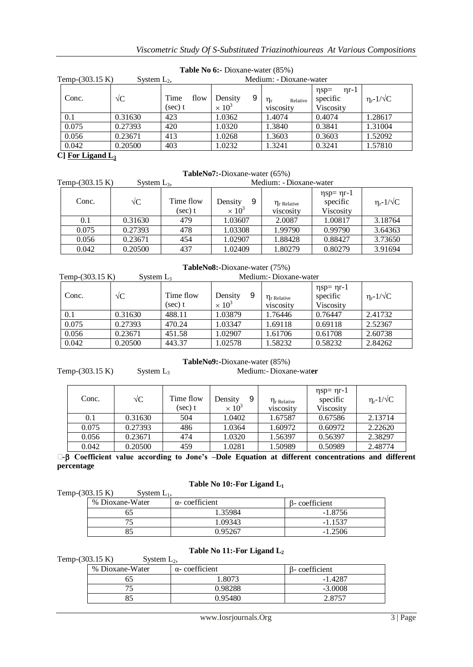| Temp-(303.15 K)<br>System $L_2$ , |            |                            | Medium: - Dioxane-water       |                                         |                                                   |                                   |
|-----------------------------------|------------|----------------------------|-------------------------------|-----------------------------------------|---------------------------------------------------|-----------------------------------|
| Conc.                             | $\sqrt{C}$ | Time<br>flow<br>$(\sec)$ t | 9<br>Density<br>$\times 10^3$ | $\eta_{\rm r}$<br>Relative<br>viscosity | $\eta$ r-1<br>$\eta$ sp=<br>specific<br>Viscosity | $\eta_{\rm r}$ -1/ $\sqrt{\rm C}$ |
| 0.1                               | 0.31630    | 423                        | 1.0362                        | 1.4074                                  | 0.4074                                            | 1.28617                           |
| 0.075                             | 0.27393    | 420                        | 1.0320                        | 1.3840                                  | 0.3841                                            | 1.31004                           |
| 0.056                             | 0.23671    | 413                        | 1.0268                        | 1.3603                                  | 0.3603                                            | 1.52092                           |
| 0.042                             | 0.20500    | 403                        | 1.0232                        | 1.3241                                  | 0.3241                                            | 1.57810                           |
| C112T1                            |            |                            |                               |                                         |                                                   |                                   |

# **Table No 6:-** Dioxane-water (85%)

**C] For Ligand L<sup>3</sup>**

| TableNo7:-Dioxane-water (65%) |                |                      |                               |                                |                                                |                                   |
|-------------------------------|----------------|----------------------|-------------------------------|--------------------------------|------------------------------------------------|-----------------------------------|
| Temp-(303.15 K)               | System $L_3$ , |                      |                               | Medium: - Dioxane-water        |                                                |                                   |
| Conc.                         | $\sqrt{C}$     | Time flow<br>(sec) t | Density<br>9<br>$\times 10^3$ | $\eta_r$ Relative<br>viscosity | $\eta$ sp= $\eta$ r-1<br>specific<br>Viscosity | $\eta_{\rm r}$ -1/ $\sqrt{\rm C}$ |
| 0.1                           | 0.31630        | 479                  | 1.03607                       | 2.0087                         | 1.00817                                        | 3.18764                           |
| 0.075                         | 0.27393        | 478                  | 1.03308                       | 1.99790                        | 0.99790                                        | 3.64363                           |
| 0.056                         | 0.23671        | 454                  | 1.02907                       | 1.88428                        | 0.88427                                        | 3.73650                           |
| 0.042                         | 0.20500        | 437                  | 1.02409                       | 1.80279                        | 0.80279                                        | 3.91694                           |

| Temp-(303.15 K)<br>System $L_3$ |            |                         | Medium: - Dioxane-water       |                                |                                                |                                   |
|---------------------------------|------------|-------------------------|-------------------------------|--------------------------------|------------------------------------------------|-----------------------------------|
| Conc.                           | $\sqrt{C}$ | Time flow<br>$(\sec)$ t | 9<br>Density<br>$\times 10^3$ | $\eta_r$ Relative<br>viscosity | $\eta$ sp= $\eta$ r-1<br>specific<br>Viscosity | $\eta_{\rm r}$ -1/ $\sqrt{\rm C}$ |
| 0.1                             | 0.31630    | 488.11                  | 1.03879                       | 1.76446                        | 0.76447                                        | 2.41732                           |
| 0.075                           | 0.27393    | 470.24                  | 1.03347                       | 1.69118                        | 0.69118                                        | 2.52367                           |
| 0.056                           | 0.23671    | 451.58                  | 1.02907                       | 1.61706                        | 0.61708                                        | 2.60738                           |
| 0.042                           | 0.20500    | 443.37                  | 1.02578                       | 1.58232                        | 0.58232                                        | 2.84262                           |

#### **TableNo9:-**Dioxane-water (85%) Temp-(303.15 K) System L3 Medium:- Dioxane-wat**er**

| Conc. | $\sqrt{C}$ | Time flow<br>(sec) t | 9<br>Density<br>$\times 10^3$ | $\eta_r$ Relative<br>viscosity | $\eta$ sp= $\eta$ r-1<br>specific<br>Viscosity | $\eta_{\rm r}$ -1/ $\sqrt{\rm C}$ |
|-------|------------|----------------------|-------------------------------|--------------------------------|------------------------------------------------|-----------------------------------|
| 0.1   | 0.31630    | 504                  | 1.0402                        | 1.67587                        | 0.67586                                        | 2.13714                           |
| 0.075 | 0.27393    | 486                  | 1.0364                        | 1.60972                        | 0.60972                                        | 2.22620                           |
| 0.056 | 0.23671    | 474                  | 1.0320                        | 1.56397                        | 0.56397                                        | 2.38297                           |
| 0.042 | 0.20500    | 459                  | 1.0281                        | 1.50989                        | 0.50989                                        | 2.48774                           |

**α- Coefficient value according to Jone's –Dole Equation at different concentrations and different percentage**

# **Table No 10:-For Ligand L<sup>1</sup>**

| Temp- $(303.15 K)$ | System $L_1$ ,  |                       |               |
|--------------------|-----------------|-----------------------|---------------|
|                    | % Dioxane-Water | $\alpha$ -coefficient | B-coefficient |
|                    |                 | 1.35984               | $-1.8756$     |
|                    |                 | 1.09343               | $-1.1537$     |
|                    |                 | 0.95267               | $-1.2506$     |

# **Table No 11:-For Ligand L<sup>2</sup>**

Temp-(303.15 K) System  $L_2$ ,

| % Dioxane-Water | $\alpha$ - coefficient | B-coefficient |
|-----------------|------------------------|---------------|
|                 | .8073                  | $-1.4287$     |
|                 | 0.98288                | $-3.0008$     |
| 85              | 0.95480                | 2.8757        |